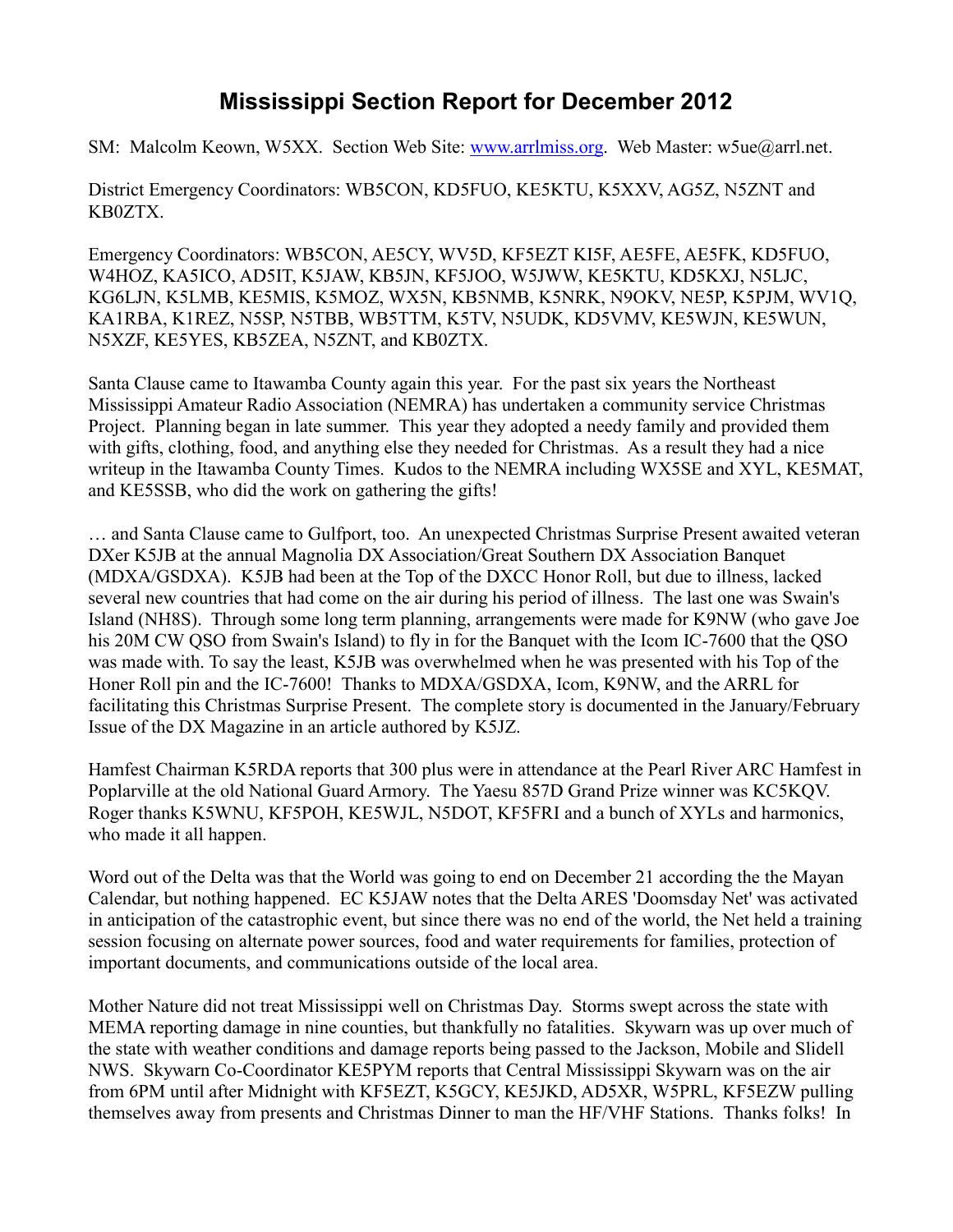## **Mississippi Section Report for December 2012**

SM: Malcolm Keown, W5XX. Section Web Site: [www.arrlmiss.org.](http://www.arrlmiss.org/) Web Master: w5ue@arrl.net.

District Emergency Coordinators: WB5CON, KD5FUO, KE5KTU, K5XXV, AG5Z, N5ZNT and KB0ZTX.

Emergency Coordinators: WB5CON, AE5CY, WV5D, KF5EZT KI5F, AE5FE, AE5FK, KD5FUO, W4HOZ, KA5ICO, AD5IT, K5JAW, KB5JN, KF5JOO, W5JWW, KE5KTU, KD5KXJ, N5LJC, KG6LJN, K5LMB, KE5MIS, K5MOZ, WX5N, KB5NMB, K5NRK, N9OKV, NE5P, K5PJM, WV1Q, KA1RBA, K1REZ, N5SP, N5TBB, WB5TTM, K5TV, N5UDK, KD5VMV, KE5WJN, KE5WUN, N5XZF, KE5YES, KB5ZEA, N5ZNT, and KB0ZTX.

Santa Clause came to Itawamba County again this year. For the past six years the Northeast Mississippi Amateur Radio Association (NEMRA) has undertaken a community service Christmas Project. Planning began in late summer. This year they adopted a needy family and provided them with gifts, clothing, food, and anything else they needed for Christmas. As a result they had a nice writeup in the Itawamba County Times. Kudos to the NEMRA including WX5SE and XYL, KE5MAT, and KE5SSB, who did the work on gathering the gifts!

… and Santa Clause came to Gulfport, too. An unexpected Christmas Surprise Present awaited veteran DXer K5JB at the annual Magnolia DX Association/Great Southern DX Association Banquet (MDXA/GSDXA). K5JB had been at the Top of the DXCC Honor Roll, but due to illness, lacked several new countries that had come on the air during his period of illness. The last one was Swain's Island (NH8S). Through some long term planning, arrangements were made for K9NW (who gave Joe his 20M CW QSO from Swain's Island) to fly in for the Banquet with the Icom IC-7600 that the QSO was made with. To say the least, K5JB was overwhelmed when he was presented with his Top of the Honer Roll pin and the IC-7600! Thanks to MDXA/GSDXA, Icom, K9NW, and the ARRL for facilitating this Christmas Surprise Present. The complete story is documented in the January/February Issue of the DX Magazine in an article authored by K5JZ.

Hamfest Chairman K5RDA reports that 300 plus were in attendance at the Pearl River ARC Hamfest in Poplarville at the old National Guard Armory. The Yaesu 857D Grand Prize winner was KC5KQV. Roger thanks K5WNU, KF5POH, KE5WJL, N5DOT, KF5FRI and a bunch of XYLs and harmonics, who made it all happen.

Word out of the Delta was that the World was going to end on December 21 according the the Mayan Calendar, but nothing happened. EC K5JAW notes that the Delta ARES 'Doomsday Net' was activated in anticipation of the catastrophic event, but since there was no end of the world, the Net held a training session focusing on alternate power sources, food and water requirements for families, protection of important documents, and communications outside of the local area.

Mother Nature did not treat Mississippi well on Christmas Day. Storms swept across the state with MEMA reporting damage in nine counties, but thankfully no fatalities. Skywarn was up over much of the state with weather conditions and damage reports being passed to the Jackson, Mobile and Slidell NWS. Skywarn Co-Coordinator KE5PYM reports that Central Mississippi Skywarn was on the air from 6PM until after Midnight with KF5EZT, K5GCY, KE5JKD, AD5XR, W5PRL, KF5EZW pulling themselves away from presents and Christmas Dinner to man the HF/VHF Stations. Thanks folks! In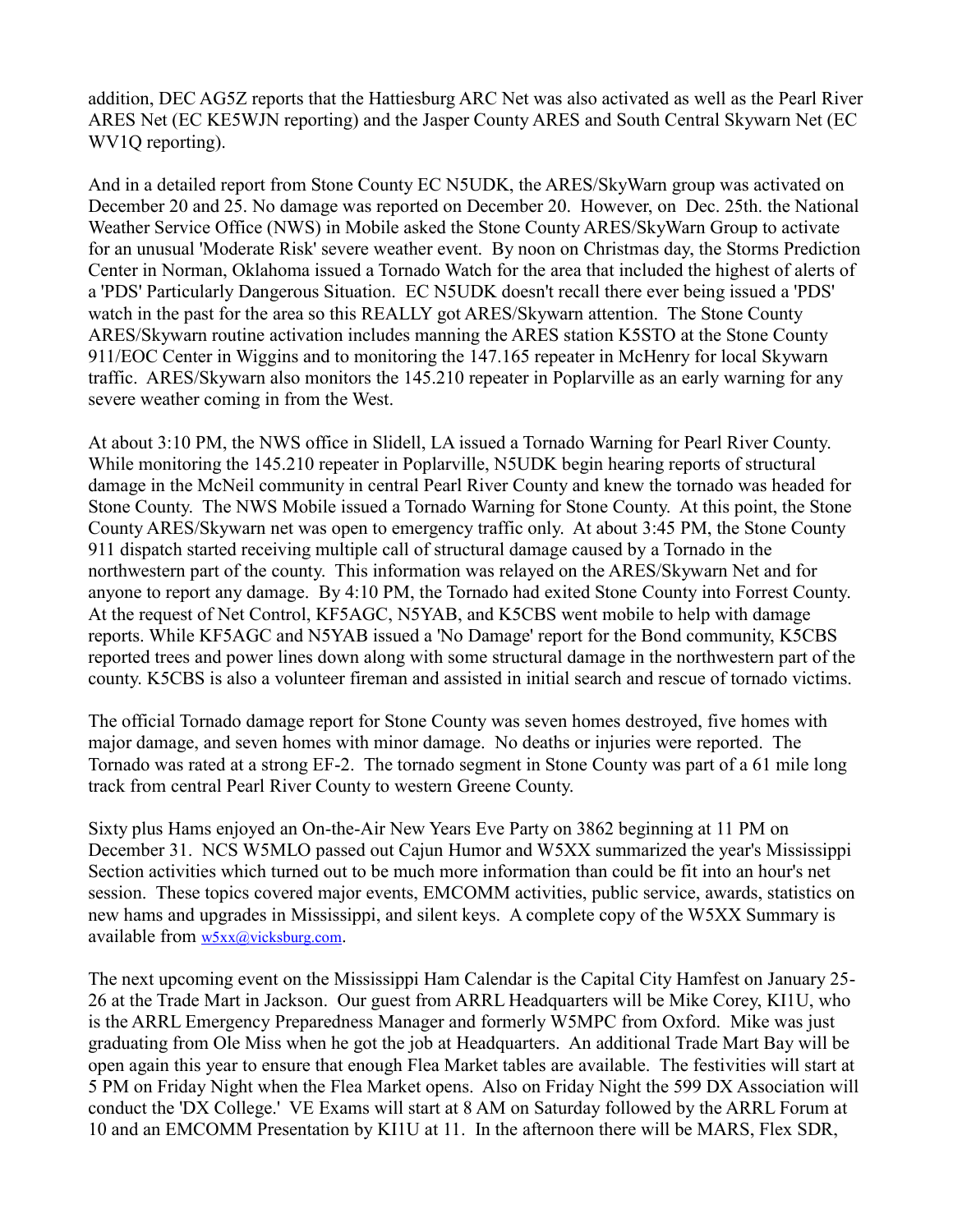addition, DEC AG5Z reports that the Hattiesburg ARC Net was also activated as well as the Pearl River ARES Net (EC KE5WJN reporting) and the Jasper County ARES and South Central Skywarn Net (EC WV1Q reporting).

And in a detailed report from Stone County EC N5UDK, the ARES/SkyWarn group was activated on December 20 and 25. No damage was reported on December 20. However, on Dec. 25th. the National Weather Service Office (NWS) in Mobile asked the Stone County ARES/SkyWarn Group to activate for an unusual 'Moderate Risk' severe weather event. By noon on Christmas day, the Storms Prediction Center in Norman, Oklahoma issued a Tornado Watch for the area that included the highest of alerts of a 'PDS' Particularly Dangerous Situation. EC N5UDK doesn't recall there ever being issued a 'PDS' watch in the past for the area so this REALLY got ARES/Skywarn attention. The Stone County ARES/Skywarn routine activation includes manning the ARES station K5STO at the Stone County 911/EOC Center in Wiggins and to monitoring the 147.165 repeater in McHenry for local Skywarn traffic. ARES/Skywarn also monitors the 145.210 repeater in Poplarville as an early warning for any severe weather coming in from the West.

At about 3:10 PM, the NWS office in Slidell, LA issued a Tornado Warning for Pearl River County. While monitoring the 145.210 repeater in Poplarville, N5UDK begin hearing reports of structural damage in the McNeil community in central Pearl River County and knew the tornado was headed for Stone County. The NWS Mobile issued a Tornado Warning for Stone County. At this point, the Stone County ARES/Skywarn net was open to emergency traffic only. At about 3:45 PM, the Stone County 911 dispatch started receiving multiple call of structural damage caused by a Tornado in the northwestern part of the county. This information was relayed on the ARES/Skywarn Net and for anyone to report any damage. By 4:10 PM, the Tornado had exited Stone County into Forrest County. At the request of Net Control, KF5AGC, N5YAB, and K5CBS went mobile to help with damage reports. While KF5AGC and N5YAB issued a 'No Damage' report for the Bond community, K5CBS reported trees and power lines down along with some structural damage in the northwestern part of the county. K5CBS is also a volunteer fireman and assisted in initial search and rescue of tornado victims.

The official Tornado damage report for Stone County was seven homes destroyed, five homes with major damage, and seven homes with minor damage. No deaths or injuries were reported. The Tornado was rated at a strong EF-2. The tornado segment in Stone County was part of a 61 mile long track from central Pearl River County to western Greene County.

Sixty plus Hams enjoyed an On-the-Air New Years Eve Party on 3862 beginning at 11 PM on December 31. NCS W5MLO passed out Cajun Humor and W5XX summarized the year's Mississippi Section activities which turned out to be much more information than could be fit into an hour's net session. These topics covered major events, EMCOMM activities, public service, awards, statistics on new hams and upgrades in Mississippi, and silent keys. A complete copy of the W5XX Summary is available from [w5xx@vicksburg.com](mailto:w5xx@vicksburg.com).

The next upcoming event on the Mississippi Ham Calendar is the Capital City Hamfest on January 25- 26 at the Trade Mart in Jackson. Our guest from ARRL Headquarters will be Mike Corey, KI1U, who is the ARRL Emergency Preparedness Manager and formerly W5MPC from Oxford. Mike was just graduating from Ole Miss when he got the job at Headquarters. An additional Trade Mart Bay will be open again this year to ensure that enough Flea Market tables are available. The festivities will start at 5 PM on Friday Night when the Flea Market opens. Also on Friday Night the 599 DX Association will conduct the 'DX College.' VE Exams will start at 8 AM on Saturday followed by the ARRL Forum at 10 and an EMCOMM Presentation by KI1U at 11. In the afternoon there will be MARS, Flex SDR,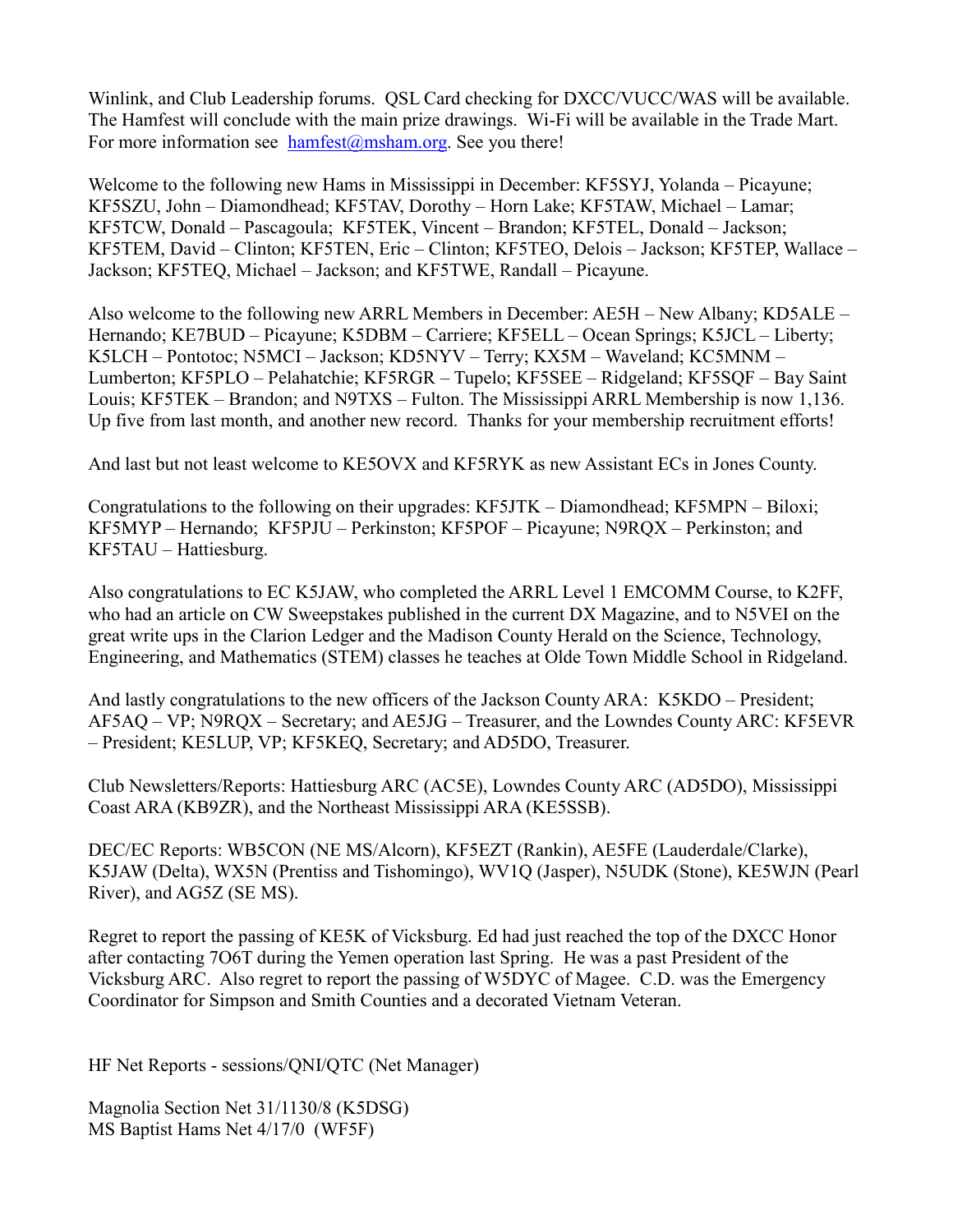Winlink, and Club Leadership forums. QSL Card checking for DXCC/VUCC/WAS will be available. The Hamfest will conclude with the main prize drawings. Wi-Fi will be available in the Trade Mart. For more information see [hamfest@msham.org.](mailto:hamfest@msham.org) See you there!

Welcome to the following new Hams in Mississippi in December: KF5SYJ, Yolanda – Picayune; KF5SZU, John – Diamondhead; KF5TAV, Dorothy – Horn Lake; KF5TAW, Michael – Lamar; KF5TCW, Donald – Pascagoula; KF5TEK, Vincent – Brandon; KF5TEL, Donald – Jackson; KF5TEM, David – Clinton; KF5TEN, Eric – Clinton; KF5TEO, Delois – Jackson; KF5TEP, Wallace – Jackson; KF5TEQ, Michael – Jackson; and KF5TWE, Randall – Picayune.

Also welcome to the following new ARRL Members in December: AE5H – New Albany; KD5ALE – Hernando; KE7BUD – Picayune; K5DBM – Carriere; KF5ELL – Ocean Springs; K5JCL – Liberty; K5LCH – Pontotoc; N5MCI – Jackson; KD5NYV – Terry; KX5M – Waveland; KC5MNM – Lumberton; KF5PLO – Pelahatchie; KF5RGR – Tupelo; KF5SEE – Ridgeland; KF5SQF – Bay Saint Louis; KF5TEK – Brandon; and N9TXS – Fulton. The Mississippi ARRL Membership is now 1,136. Up five from last month, and another new record. Thanks for your membership recruitment efforts!

And last but not least welcome to KE5OVX and KF5RYK as new Assistant ECs in Jones County.

Congratulations to the following on their upgrades: KF5JTK – Diamondhead; KF5MPN – Biloxi; KF5MYP – Hernando; KF5PJU – Perkinston; KF5POF – Picayune; N9RQX – Perkinston; and KF5TAU – Hattiesburg.

Also congratulations to EC K5JAW, who completed the ARRL Level 1 EMCOMM Course, to K2FF, who had an article on CW Sweepstakes published in the current DX Magazine, and to N5VEI on the great write ups in the Clarion Ledger and the Madison County Herald on the Science, Technology, Engineering, and Mathematics (STEM) classes he teaches at Olde Town Middle School in Ridgeland.

And lastly congratulations to the new officers of the Jackson County ARA: K5KDO – President; AF5AQ – VP; N9RQX – Secretary; and AE5JG – Treasurer, and the Lowndes County ARC: KF5EVR – President; KE5LUP, VP; KF5KEQ, Secretary; and AD5DO, Treasurer.

Club Newsletters/Reports: Hattiesburg ARC (AC5E), Lowndes County ARC (AD5DO), Mississippi Coast ARA (KB9ZR), and the Northeast Mississippi ARA (KE5SSB).

DEC/EC Reports: WB5CON (NE MS/Alcorn), KF5EZT (Rankin), AE5FE (Lauderdale/Clarke), K5JAW (Delta), WX5N (Prentiss and Tishomingo), WV1Q (Jasper), N5UDK (Stone), KE5WJN (Pearl River), and AG5Z (SE MS).

Regret to report the passing of KE5K of Vicksburg. Ed had just reached the top of the DXCC Honor after contacting 7O6T during the Yemen operation last Spring. He was a past President of the Vicksburg ARC. Also regret to report the passing of W5DYC of Magee. C.D. was the Emergency Coordinator for Simpson and Smith Counties and a decorated Vietnam Veteran.

HF Net Reports - sessions/QNI/QTC (Net Manager)

Magnolia Section Net 31/1130/8 (K5DSG) MS Baptist Hams Net 4/17/0 (WF5F)